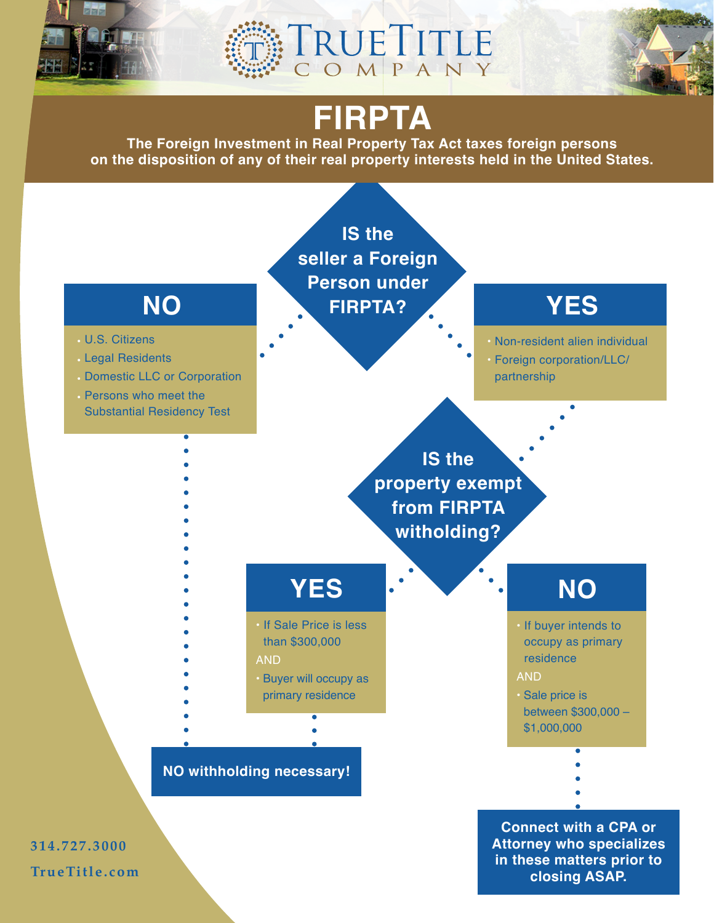





# **FIRPTA**

**The Foreign Investment in Real Property Tax Act taxes foreign persons on the disposition of any of their real property interests held in the United States.**

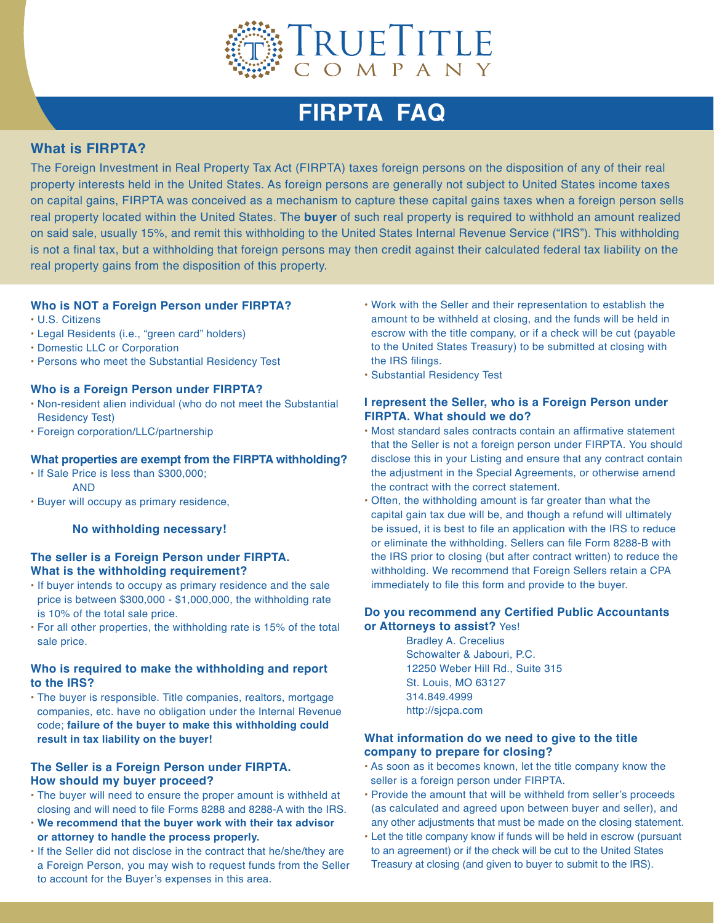

## **FIRPTA FAQ**

### **What is FIRPTA?**

The Foreign Investment in Real Property Tax Act (FIRPTA) taxes foreign persons on the disposition of any of their real property interests held in the United States. As foreign persons are generally not subject to United States income taxes on capital gains, FIRPTA was conceived as a mechanism to capture these capital gains taxes when a foreign person sells real property located within the United States. The **buyer** of such real property is required to withhold an amount realized on said sale, usually 15%, and remit this withholding to the United States Internal Revenue Service ("IRS"). This withholding is not a final tax, but a withholding that foreign persons may then credit against their calculated federal tax liability on the real property gains from the disposition of this property.

#### **Who is NOT a Foreign Person under FIRPTA?**

- U.S. Citizens
- Legal Residents (i.e., "green card" holders)
- Domestic LLC or Corporation
- Persons who meet the Substantial Residency Test

#### **Who is a Foreign Person under FIRPTA?**

- Non-resident alien individual (who do not meet the Substantial Residency Test)
- Foreign corporation/LLC/partnership

#### **What properties are exempt from the FIRPTA withholding?**

- If Sale Price is less than \$300,000; AND
- Buyer will occupy as primary residence,

#### **No withholding necessary!**

#### **The seller is a Foreign Person under FIRPTA. What is the withholding requirement?**

- If buyer intends to occupy as primary residence and the sale price is between \$300,000 - \$1,000,000, the withholding rate is 10% of the total sale price.
- For all other properties, the withholding rate is 15% of the total sale price.

#### **Who is required to make the withholding and report to the IRS?**

• The buyer is responsible. Title companies, realtors, mortgage companies, etc. have no obligation under the Internal Revenue code; **failure of the buyer to make this withholding could result in tax liability on the buyer!**

#### **The Seller is a Foreign Person under FIRPTA. How should my buyer proceed?**

- The buyer will need to ensure the proper amount is withheld at closing and will need to file Forms 8288 and 8288-A with the IRS.
- **We recommend that the buyer work with their tax advisor or attorney to handle the process properly.**
- If the Seller did not disclose in the contract that he/she/they are a Foreign Person, you may wish to request funds from the Seller to account for the Buyer's expenses in this area.
- Work with the Seller and their representation to establish the amount to be withheld at closing, and the funds will be held in escrow with the title company, or if a check will be cut (payable to the United States Treasury) to be submitted at closing with the IRS filings.
- Substantial Residency Test

#### **I represent the Seller, who is a Foreign Person under FIRPTA. What should we do?**

- Most standard sales contracts contain an affirmative statement that the Seller is not a foreign person under FIRPTA. You should disclose this in your Listing and ensure that any contract contain the adjustment in the Special Agreements, or otherwise amend the contract with the correct statement.
- Often, the withholding amount is far greater than what the capital gain tax due will be, and though a refund will ultimately be issued, it is best to file an application with the IRS to reduce or eliminate the withholding. Sellers can file Form 8288-B with the IRS prior to closing (but after contract written) to reduce the withholding. We recommend that Foreign Sellers retain a CPA immediately to file this form and provide to the buyer.

#### **Do you recommend any Certified Public Accountants or Attorneys to assist?** Yes!

 Bradley A. Crecelius Schowalter & Jabouri, P.C. 12250 Weber Hill Rd., Suite 315 St. Louis, MO 63127 314.849.4999 http://sjcpa.com

#### **What information do we need to give to the title company to prepare for closing?**

- As soon as it becomes known, let the title company know the seller is a foreign person under FIRPTA.
- Provide the amount that will be withheld from seller's proceeds (as calculated and agreed upon between buyer and seller), and any other adjustments that must be made on the closing statement.
- Let the title company know if funds will be held in escrow (pursuant to an agreement) or if the check will be cut to the United States Treasury at closing (and given to buyer to submit to the IRS).